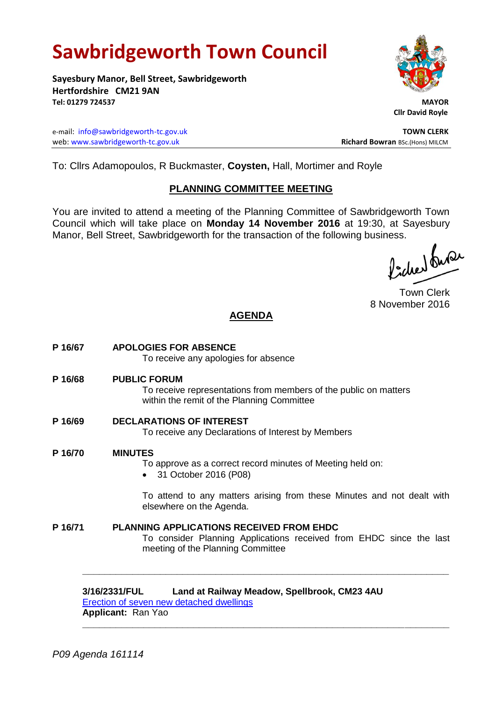# **Sawbridgeworth Town Council**

**Sayesbury Manor, Bell Street, Sawbridgeworth Hertfordshire CM21 9AN Tel: 01279 724537 MAYOR**

e-mail: [info@sawbridgeworth-tc.gov.uk](mailto:info@sawbridgeworth-tc.gov.uk) **TOWN CLERK** web: www.sawbridgeworth-tc.gov.uk<br>
Richard Bowran BSc.(Hons) MILCM

 **Cllr David Royle**

To: Cllrs Adamopoulos, R Buckmaster, **Coysten,** Hall, Mortimer and Royle

### **PLANNING COMMITTEE MEETING**

You are invited to attend a meeting of the Planning Committee of Sawbridgeworth Town Council which will take place on **Monday 14 November 2016** at 19:30, at Sayesbury Manor, Bell Street, Sawbridgeworth for the transaction of the following business.<br>  $\Lambda$ ,  $\Lambda$ ,  $\Lambda$ ,  $\Omega$ 

Town Clerk 8 November 2016

## **AGENDA**

**P 16/67 APOLOGIES FOR ABSENCE** To receive any apologies for absence **P 16/68 PUBLIC FORUM** To receive representations from members of the public on matters within the remit of the Planning Committee **P 16/69 DECLARATIONS OF INTEREST** To receive any Declarations of Interest by Members **P 16/70 MINUTES** To approve as a correct record minutes of Meeting held on: 31 October 2016 (P08) To attend to any matters arising from these Minutes and not dealt with elsewhere on the Agenda. **P 16/71 PLANNING APPLICATIONS RECEIVED FROM EHDC** To consider Planning Applications received from EHDC since the last meeting of the Planning Committee **\_\_\_\_\_\_\_\_\_\_\_\_\_\_\_\_\_\_\_\_\_\_\_\_\_\_\_\_\_\_\_\_\_\_\_\_\_\_\_\_\_\_\_\_\_\_\_\_\_\_\_\_\_\_\_\_\_\_\_\_\_\_\_\_\_\_**

# **3/16/2331/FUL Land at Railway Meadow, Spellbrook, CM23 4AU**

**\_\_\_\_\_\_\_\_\_\_\_\_\_\_\_\_\_\_\_\_\_\_\_\_\_\_\_\_\_\_\_\_\_\_\_\_\_\_\_\_\_\_\_\_\_\_\_\_\_\_\_\_\_\_\_\_\_\_\_\_\_\_\_\_\_\_**

[Erection of seven new detached dwellings](https://publicaccess.eastherts.gov.uk/online-applications/applicationDetails.do?activeTab=summary&keyVal=OF1LT4GLLTT00) **Applicant:** Ran Yao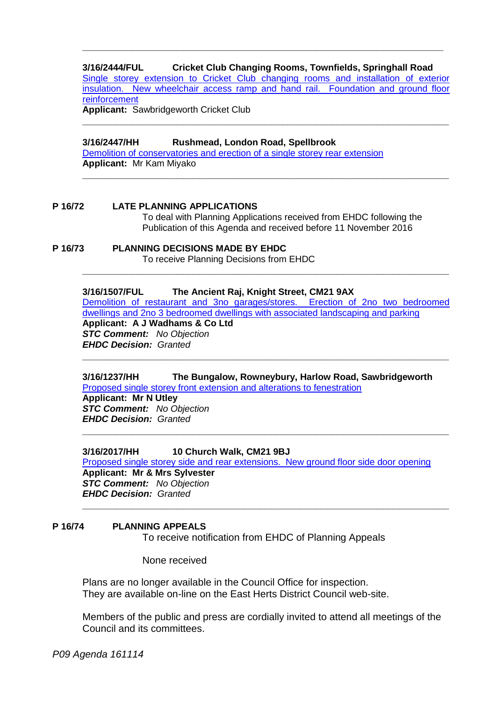#### **3/16/2444/FUL Cricket Club Changing Rooms, Townfields, Springhall Road**

**\_\_\_\_\_\_\_\_\_\_\_\_\_\_\_\_\_\_\_\_\_\_\_\_\_\_\_\_\_\_\_\_\_\_\_\_\_\_\_\_\_\_\_\_\_\_\_\_\_\_\_\_\_\_\_\_\_\_\_\_\_\_\_\_\_**

[Single storey extension to Cricket Club changing rooms and installation of exterior](https://publicaccess.eastherts.gov.uk/online-applications/applicationDetails.do?activeTab=summary&keyVal=OG08X8GLM1200)  [insulation. New wheelchair access ramp and hand rail. Foundation and ground floor](https://publicaccess.eastherts.gov.uk/online-applications/applicationDetails.do?activeTab=summary&keyVal=OG08X8GLM1200)  [reinforcement](https://publicaccess.eastherts.gov.uk/online-applications/applicationDetails.do?activeTab=summary&keyVal=OG08X8GLM1200)

**\_\_\_\_\_\_\_\_\_\_\_\_\_\_\_\_\_\_\_\_\_\_\_\_\_\_\_\_\_\_\_\_\_\_\_\_\_\_\_\_\_\_\_\_\_\_\_\_\_\_\_\_\_\_\_\_\_\_\_\_\_\_\_\_\_\_**

**\_\_\_\_\_\_\_\_\_\_\_\_\_\_\_\_\_\_\_\_\_\_\_\_\_\_\_\_\_\_\_\_\_\_\_\_\_\_\_\_\_\_\_\_\_\_\_\_\_\_\_\_\_\_\_\_\_\_\_\_\_\_\_\_\_\_**

**Applicant:** Sawbridgeworth Cricket Club

**3/16/2447/HH Rushmead, London Road, Spellbrook** [Demolition of conservatories and erection of a single storey rear extension](https://publicaccess.eastherts.gov.uk/online-applications/applicationDetails.do?activeTab=summary&keyVal=OG0910GLM1800) **Applicant:** Mr Kam Miyako

**P 16/72 LATE PLANNING APPLICATIONS** To deal with Planning Applications received from EHDC following the Publication of this Agenda and received before 11 November 2016

**P 16/73 PLANNING DECISIONS MADE BY EHDC** To receive Planning Decisions from EHDC

#### **3/16/1507/FUL The Ancient Raj, Knight Street, CM21 9AX**

[Demolition of restaurant and 3no garages/stores. Erection of 2no two bedroomed](https://publicaccess.eastherts.gov.uk/online-applications/applicationDetails.do?activeTab=summary&keyVal=O9MJI5GLKI100)  [dwellings and 2no 3 bedroomed dwellings with associated landscaping and parking](https://publicaccess.eastherts.gov.uk/online-applications/applicationDetails.do?activeTab=summary&keyVal=O9MJI5GLKI100) **Applicant: A J Wadhams & Co Ltd** *STC Comment: No Objection EHDC Decision: Granted*

**\_\_\_\_\_\_\_\_\_\_\_\_\_\_\_\_\_\_\_\_\_\_\_\_\_\_\_\_\_\_\_\_\_\_\_\_\_\_\_\_\_\_\_\_\_\_\_\_\_\_\_\_\_\_\_\_\_\_\_\_\_\_\_\_\_\_**

**\_\_\_\_\_\_\_\_\_\_\_\_\_\_\_\_\_\_\_\_\_\_\_\_\_\_\_\_\_\_\_\_\_\_\_\_\_\_\_\_\_\_\_\_\_\_\_\_\_\_\_\_\_\_\_\_\_\_\_\_\_\_\_\_\_\_**

**\_\_\_\_\_\_\_\_\_\_\_\_\_\_\_\_\_\_\_\_\_\_\_\_\_\_\_\_\_\_\_\_\_\_\_\_\_\_\_\_\_\_\_\_\_\_\_\_\_\_\_\_\_\_\_\_\_\_\_\_\_\_\_\_\_\_**

#### **3/16/1237/HH The Bungalow, Rowneybury, Harlow Road, Sawbridgeworth** [Proposed single storey front extension and alterations to fenestration](https://publicaccess.eastherts.gov.uk/online-applications/applicationDetails.do?activeTab=summary&keyVal=O7TQ6NGLK1900)

**Applicant: Mr N Utley** *STC Comment: No Objection EHDC Decision: Granted*

#### **3/16/2017/HH 10 Church Walk, CM21 9BJ**

[Proposed single storey side and rear extensions. New ground floor side door opening](https://publicaccess.eastherts.gov.uk/online-applications/applicationDetails.do?activeTab=summary&keyVal=OCX27NGLLBQ00) **Applicant: Mr & Mrs Sylvester** *STC Comment: No Objection EHDC Decision: Granted* **\_\_\_\_\_\_\_\_\_\_\_\_\_\_\_\_\_\_\_\_\_\_\_\_\_\_\_\_\_\_\_\_\_\_\_\_\_\_\_\_\_\_\_\_\_\_\_\_\_\_\_\_\_\_\_\_\_\_\_\_\_\_\_\_\_\_**

#### **P 16/74 PLANNING APPEALS**

To receive notification from EHDC of Planning Appeals

None received

Plans are no longer available in the Council Office for inspection. They are available on-line on the East Herts District Council web-site.

Members of the public and press are cordially invited to attend all meetings of the Council and its committees.